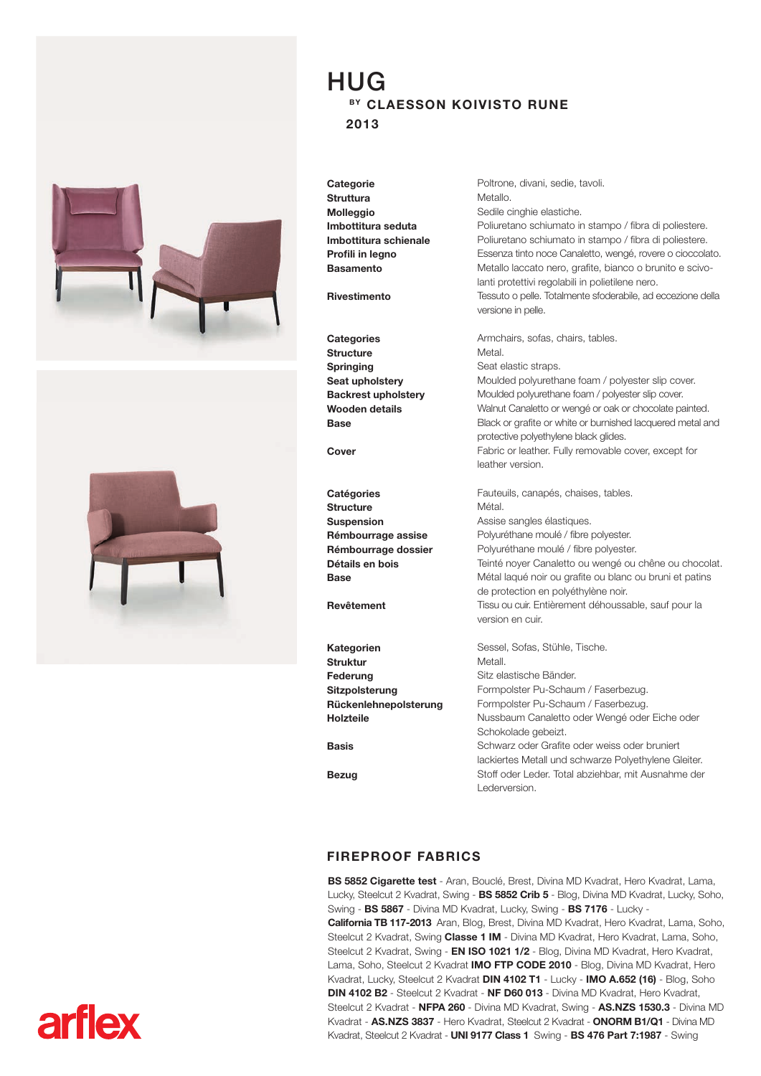



## HUG BY CLAESSON KOIVISTO RUNE 2013

**Categorie Struttura Molleggio** Imbottitura seduta Imbottitura schienale Profili in legno **Basamento** 

Rivestimento

**Categories Structure** Springing Seat upholstery Backrest upholstery Wooden details Base

Cover

**Catégories Structure** Suspension Rémbourrage assise Rémbourrage dossier Détails en bois **Base** 

Revêtement

Kategorien Struktur Federung Sitzpolsterung Rückenlehnepolsterung Holzteile Basis Bezug Sessel, Sofas, Stühle, Tische. Metall. Sitz elastische Bänder. Formpolster Pu-Schaum / Faserbezug. Schokolade gebeizt.

Sedile cinghie elastiche. Poliuretano schiumato in stampo / fibra di poliestere. Poliuretano schiumato in stampo / fibra di poliestere. Essenza tinto noce Canaletto, wengé, rovere o cioccolato. Metallo laccato nero, grafite, bianco o brunito e scivolanti protettivi regolabili in polietilene nero. Tessuto o pelle. Totalmente sfoderabile, ad eccezione della versione in pelle.

Poltrone, divani, sedie, tavoli.

Metallo.

Armchairs, sofas, chairs, tables. Metal. Seat elastic straps. Moulded polyurethane foam / polyester slip cover. Moulded polyurethane foam / polyester slip cover. Walnut Canaletto or wengé or oak or chocolate painted. Black or grafite or white or burnished lacquered metal and protective polyethylene black glides. Fabric or leather. Fully removable cover, except for leather version.

Fauteuils, canapés, chaises, tables. Métal. Assise sangles élastiques. Polyuréthane moulé / fibre polyester. Polyuréthane moulé / fibre polyester. Teinté noyer Canaletto ou wengé ou chêne ou chocolat. Métal laqué noir ou grafite ou blanc ou bruni et patins de protection en polyéthylène noir. Tissu ou cuir. Entièrement déhoussable, sauf pour la version en cuir.

Formpolster Pu-Schaum / Faserbezug. Nussbaum Canaletto oder Wengé oder Eiche oder Schwarz oder Grafite oder weiss oder bruniert lackiertes Metall und schwarze Polyethylene Gleiter. Stoff oder Leder. Total abziehbar, mit Ausnahme der Lederversion.

## FIREPROOF FABRICS

BS 5852 Cigarette test - Aran, Bouclé, Brest, Divina MD Kvadrat, Hero Kvadrat, Lama, Lucky, Steelcut 2 Kvadrat, Swing - BS 5852 Crib 5 - Blog, Divina MD Kvadrat, Lucky, Soho, Swing - BS 5867 - Divina MD Kvadrat, Lucky, Swing - BS 7176 - Lucky - California TB 117-2013 Aran, Blog, Brest, Divina MD Kvadrat, Hero Kvadrat, Lama, Soho, Steelcut 2 Kvadrat, Swing Classe 1 IM - Divina MD Kvadrat, Hero Kvadrat, Lama, Soho, Steelcut 2 Kvadrat, Swing - EN ISO 1021 1/2 - Blog, Divina MD Kvadrat, Hero Kvadrat, Lama, Soho, Steelcut 2 Kvadrat IMO FTP CODE 2010 - Blog, Divina MD Kvadrat, Hero Kvadrat, Lucky, Steelcut 2 Kvadrat DIN 4102 T1 - Lucky - IMO A.652 (16) - Blog, Soho DIN 4102 B2 - Steelcut 2 Kvadrat - NF D60 013 - Divina MD Kvadrat, Hero Kvadrat, Steelcut 2 Kvadrat - NFPA 260 - Divina MD Kvadrat, Swing - AS.NZS 1530.3 - Divina MD Kvadrat - AS.NZS 3837 - Hero Kvadrat, Steelcut 2 Kvadrat - ONORM B1/Q1 - Divina MD Kvadrat, Steelcut 2 Kvadrat - UNI 9177 Class 1 Swing - BS 476 Part 7:1987 - Swing

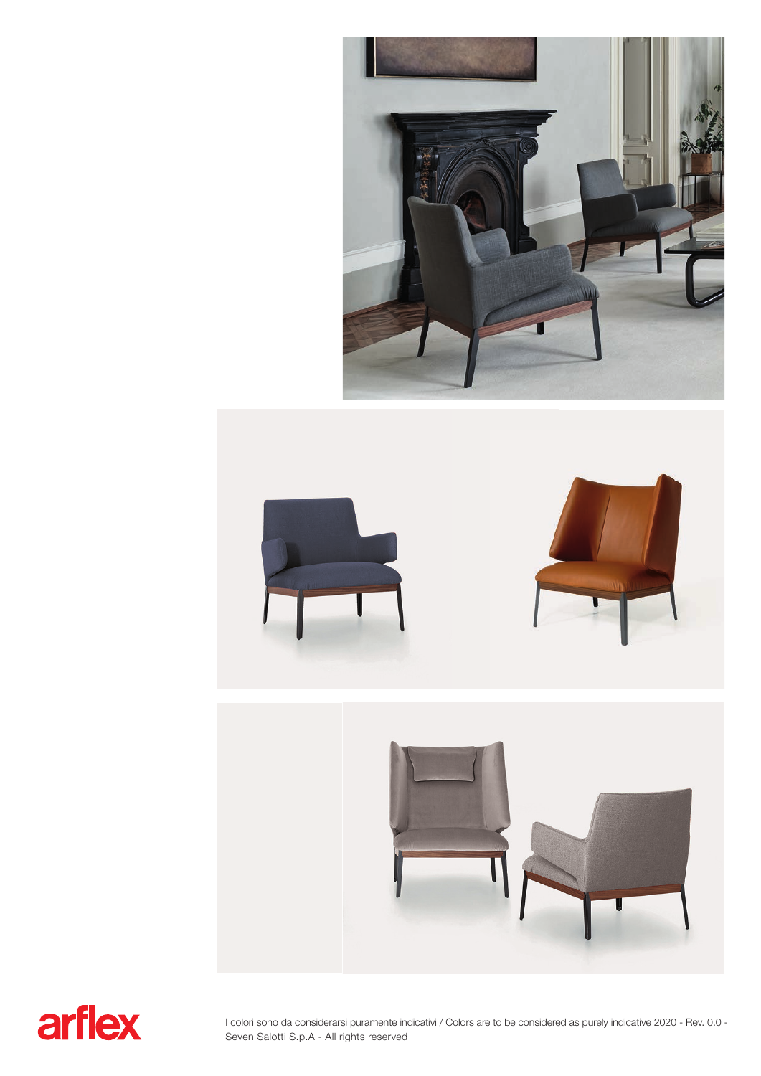





I colori sono da considerarsi puramente indicativi / Colors are to be considered as purely indicative 2020 - Rev. 0.0 - Seven Salotti S.p.A - All rights reserved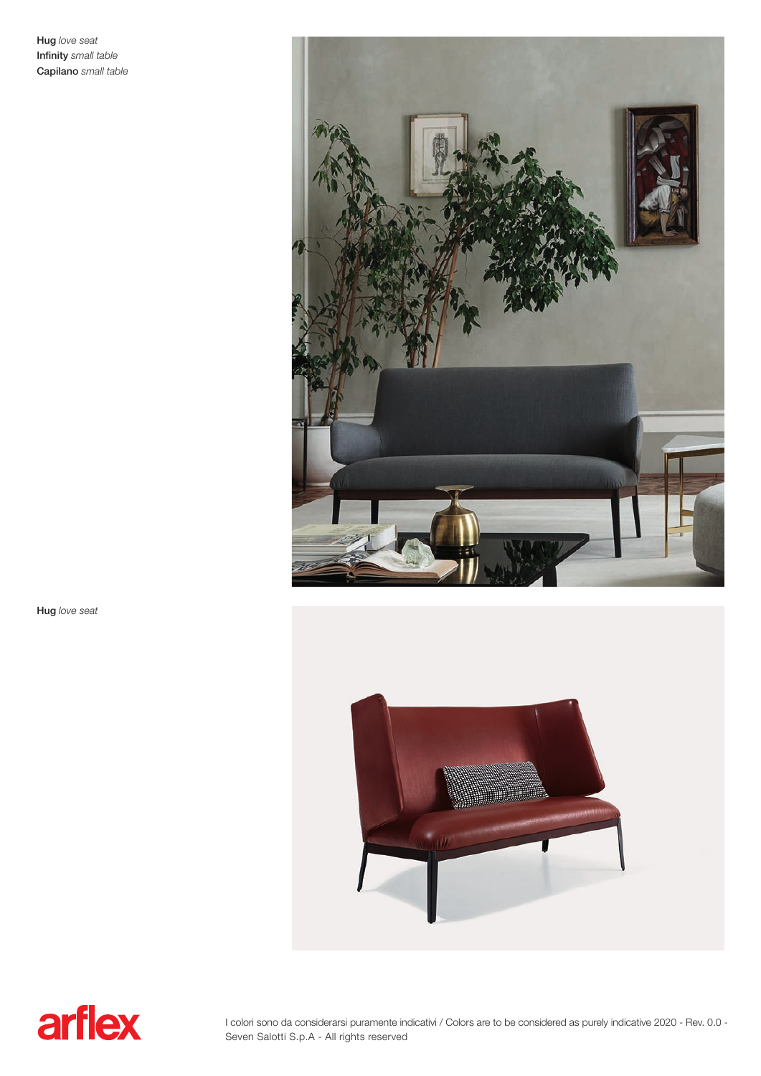Hug love seat Infinity small table **Capilano** small table



Hug love seat





I colori sono da considerarsi puramente indicativi / Colors are to be considered as purely indicative 2020 - Rev. 0.0 - Seven Salotti S.p.A - All rights reserved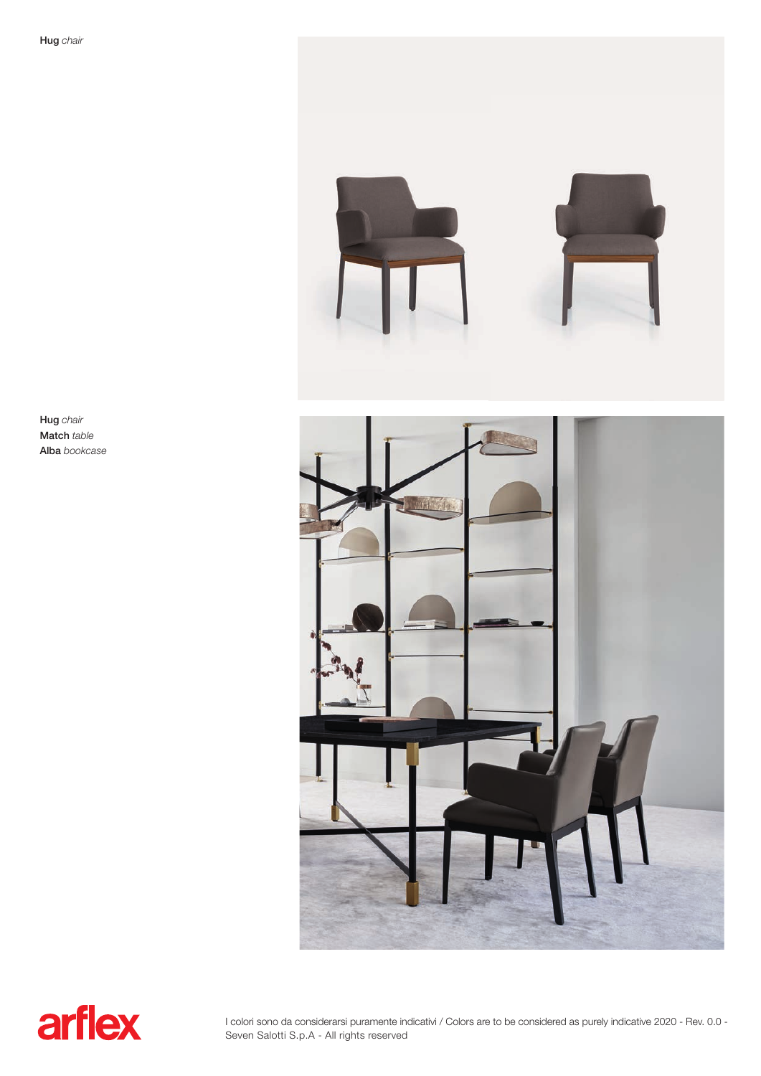$1 + 1$ 

Hug chair Match table Alba bookcase